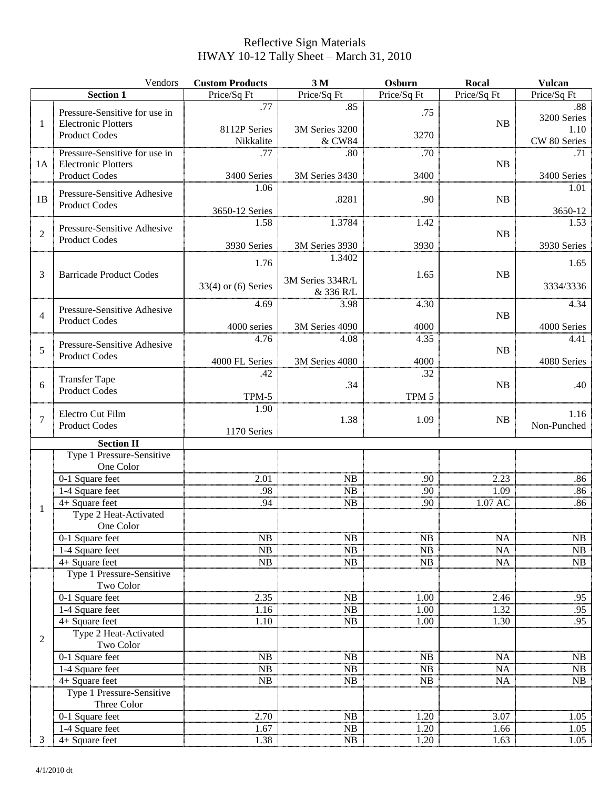## Reflective Sign Materials HWAY 10-12 Tally Sheet – March 31, 2010

|                | Vendors                                                                             | <b>Custom Products</b>    | 3M                         | Osburn           | Rocal       | <b>Vulcan</b>        |
|----------------|-------------------------------------------------------------------------------------|---------------------------|----------------------------|------------------|-------------|----------------------|
|                | <b>Section 1</b>                                                                    | Price/Sq Ft               | Price/Sq Ft                | Price/Sq Ft      | Price/Sq Ft | Price/Sq Ft          |
| 1              | Pressure-Sensitive for use in<br><b>Electronic Plotters</b><br><b>Product Codes</b> | .77                       | .85                        | .75              |             | .88<br>3200 Series   |
|                |                                                                                     | 8112P Series<br>Nikkalite | 3M Series 3200<br>& CW84   | 3270             | NB          | 1.10<br>CW 80 Series |
| 1A             | Pressure-Sensitive for use in<br><b>Electronic Plotters</b><br><b>Product Codes</b> | .77                       | .80                        | .70              | NB          | .71                  |
|                |                                                                                     | 3400 Series               | 3M Series 3430             | 3400             |             | 3400 Series          |
| 1B             | Pressure-Sensitive Adhesive<br><b>Product Codes</b>                                 | 1.06<br>3650-12 Series    | .8281                      | .90              | <b>NB</b>   | 1.01<br>3650-12      |
| $\overline{2}$ | Pressure-Sensitive Adhesive<br><b>Product Codes</b>                                 | 1.58                      | 1.3784                     | 1.42             | <b>NB</b>   | 1.53                 |
|                |                                                                                     | 3930 Series               | 3M Series 3930             | 3930             |             | 3930 Series          |
| 3              | <b>Barricade Product Codes</b>                                                      | 1.76                      | 1.3402<br>3M Series 334R/L | 1.65             | <b>NB</b>   | 1.65                 |
|                |                                                                                     | $33(4)$ or $(6)$ Series   | & 336 R/L                  |                  |             | 3334/3336            |
| $\overline{4}$ | Pressure-Sensitive Adhesive<br><b>Product Codes</b>                                 | 4.69                      | 3.98                       | 4.30             | <b>NB</b>   | 4.34                 |
|                |                                                                                     | 4000 series               | 3M Series 4090             | 4000             |             | 4000 Series          |
| 5              | Pressure-Sensitive Adhesive<br><b>Product Codes</b>                                 | 4.76                      | 4.08                       | 4.35             | <b>NB</b>   | 4.41                 |
|                |                                                                                     | 4000 FL Series            | 3M Series 4080             | 4000             |             | 4080 Series          |
|                | <b>Transfer Tape</b><br><b>Product Codes</b>                                        | .42                       |                            | .32              |             |                      |
| 6              |                                                                                     | TPM-5                     | .34                        | TPM <sub>5</sub> | <b>NB</b>   | .40                  |
|                |                                                                                     | 1.90                      |                            |                  |             |                      |
| $\overline{7}$ | Electro Cut Film<br><b>Product Codes</b>                                            |                           | 1.38                       | 1.09             | <b>NB</b>   | 1.16<br>Non-Punched  |
|                | <b>Section II</b>                                                                   | 1170 Series               |                            |                  |             |                      |
|                | Type 1 Pressure-Sensitive                                                           |                           |                            |                  |             |                      |
|                | One Color                                                                           |                           |                            |                  |             |                      |
|                | 0-1 Square feet                                                                     | 2.01                      | <b>NB</b>                  | .90              | 2.23        | .86                  |
|                | 1-4 Square feet                                                                     | .98                       | NB                         | .90              | 1.09        | .86                  |
| 1              | 4+ Square feet                                                                      | .94                       | NB                         | .90              | 1.07 AC     | .86                  |
|                | Type 2 Heat-Activated<br>One Color                                                  |                           |                            |                  |             |                      |
|                | 0-1 Square feet                                                                     | NB                        | NB                         | NB               | NA          | NB                   |
|                | 1-4 Square feet                                                                     | NB                        | NB                         | NB               | NA          | NB                   |
|                | 4+ Square feet                                                                      | ${\rm NB}$                | NB                         | NB               | NA          | NB                   |
|                | Type 1 Pressure-Sensitive<br>Two Color                                              |                           |                            |                  |             |                      |
| $\overline{2}$ | 0-1 Square feet                                                                     | 2.35                      | NB                         | 1.00             | 2.46        | .95                  |
|                | 1-4 Square feet                                                                     | 1.16                      | NB                         | 1.00             | 1.32        | .95                  |
|                | 4+ Square feet                                                                      | 1.10                      | NB                         | 1.00             | 1.30        | .95                  |
|                | Type 2 Heat-Activated<br>Two Color                                                  |                           |                            |                  |             |                      |
|                | 0-1 Square feet                                                                     | NB                        | NB                         | NB               | NA          | NB                   |
|                | 1-4 Square feet                                                                     | NB                        | NB                         | NB               | NA          | NB                   |
|                | 4+ Square feet                                                                      | NB                        | NB                         | NB               | <b>NA</b>   | NB                   |
|                | Type 1 Pressure-Sensitive<br>Three Color                                            |                           |                            |                  |             |                      |
|                | 0-1 Square feet                                                                     | 2.70                      | NB                         | 1.20             | 3.07        | 1.05                 |
|                | 1-4 Square feet                                                                     | 1.67                      | NB                         | 1.20             | 1.66        | 1.05                 |
| 3              | 4+ Square feet                                                                      | 1.38                      | NB                         | 1.20             | 1.63        | 1.05                 |